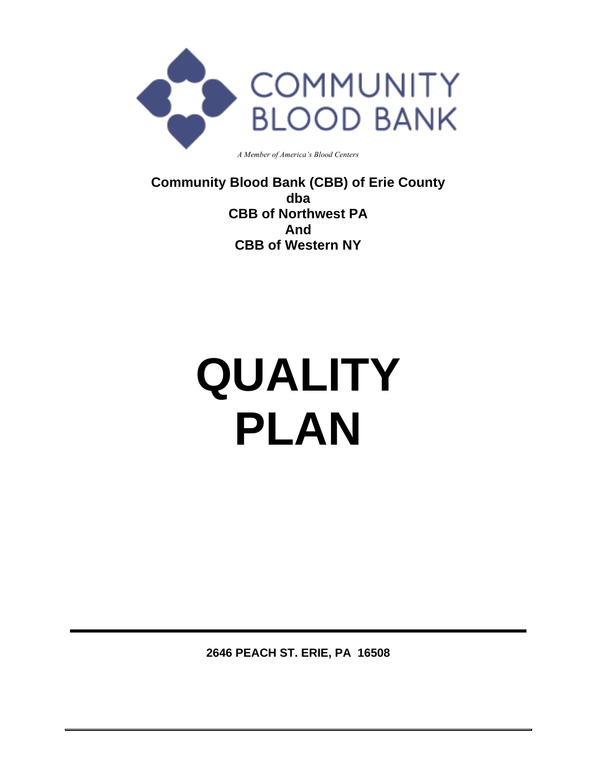

*A Member of America's Blood Centers*

**Community Blood Bank (CBB) of Erie County dba CBB of Northwest PA And CBB of Western NY**

# **QUALITY PLAN**

**2646 PEACH ST. ERIE, PA 16508**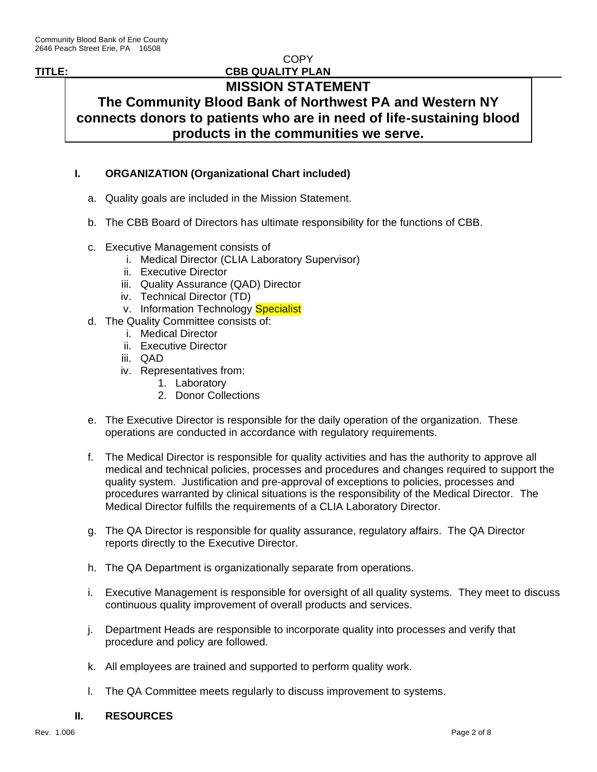**COPY** 

#### **TITLE: CBB QUALITY PLAN**

# **MISSION STATEMENT The Community Blood Bank of Northwest PA and Western NY**

**connects donors to patients who are in need of life-sustaining blood products in the communities we serve.**

### **I. ORGANIZATION (Organizational Chart included)**

- a. Quality goals are included in the Mission Statement.
- b. The CBB Board of Directors has ultimate responsibility for the functions of CBB.
- c. Executive Management consists of
	- i. Medical Director (CLIA Laboratory Supervisor)
	- ii. Executive Director
	- iii. Quality Assurance (QAD) Director
	- iv. Technical Director (TD)
	- v. Information Technology Specialist
- d. The Quality Committee consists of:
	- i. Medical Director
	- ii. Executive Director
	- iii. QAD
	- iv. Representatives from:
		- 1. Laboratory
		- 2. Donor Collections
- e. The Executive Director is responsible for the daily operation of the organization. These operations are conducted in accordance with regulatory requirements.
- f. The Medical Director is responsible for quality activities and has the authority to approve all medical and technical policies, processes and procedures and changes required to support the quality system. Justification and pre-approval of exceptions to policies, processes and procedures warranted by clinical situations is the responsibility of the Medical Director. The Medical Director fulfills the requirements of a CLIA Laboratory Director.
- g. The QA Director is responsible for quality assurance, regulatory affairs. The QA Director reports directly to the Executive Director.
- h. The QA Department is organizationally separate from operations.
- i. Executive Management is responsible for oversight of all quality systems. They meet to discuss continuous quality improvement of overall products and services.
- j. Department Heads are responsible to incorporate quality into processes and verify that procedure and policy are followed.
- k. All employees are trained and supported to perform quality work.
- l. The QA Committee meets regularly to discuss improvement to systems.

#### **II. RESOURCES**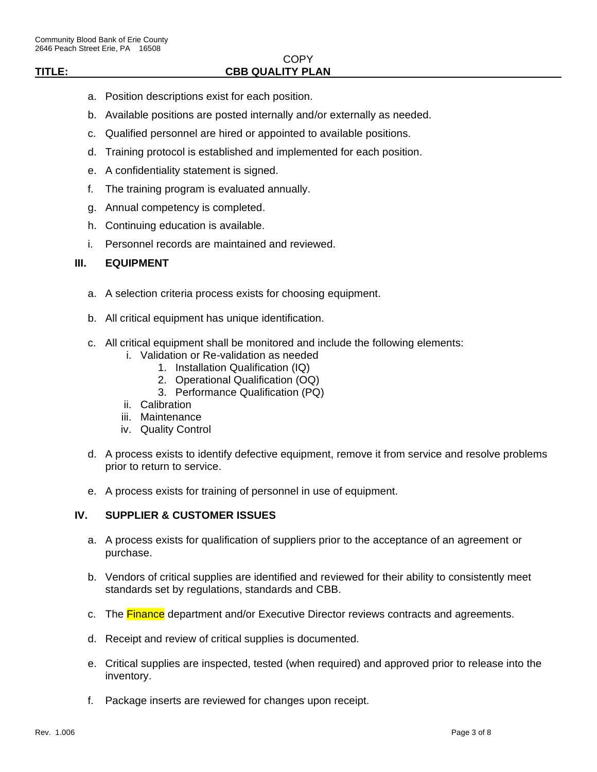#### **COPY TITLE: CBB QUALITY PLAN**

- a. Position descriptions exist for each position.
- b. Available positions are posted internally and/or externally as needed.
- c. Qualified personnel are hired or appointed to available positions.
- d. Training protocol is established and implemented for each position.
- e. A confidentiality statement is signed.
- f. The training program is evaluated annually.
- g. Annual competency is completed.
- h. Continuing education is available.
- i. Personnel records are maintained and reviewed.

#### **III. EQUIPMENT**

- a. A selection criteria process exists for choosing equipment.
- b. All critical equipment has unique identification.
- c. All critical equipment shall be monitored and include the following elements:
	- i. Validation or Re-validation as needed
		- 1. Installation Qualification (IQ)
		- 2. Operational Qualification (OQ)
		- 3. Performance Qualification (PQ)
	- ii. Calibration
	- iii. Maintenance
	- iv. Quality Control
- d. A process exists to identify defective equipment, remove it from service and resolve problems prior to return to service.
- e. A process exists for training of personnel in use of equipment.

#### **IV. SUPPLIER & CUSTOMER ISSUES**

- a. A process exists for qualification of suppliers prior to the acceptance of an agreement or purchase.
- b. Vendors of critical supplies are identified and reviewed for their ability to consistently meet standards set by regulations, standards and CBB.
- c. The **Finance** department and/or Executive Director reviews contracts and agreements.
- d. Receipt and review of critical supplies is documented.
- e. Critical supplies are inspected, tested (when required) and approved prior to release into the inventory.
- f. Package inserts are reviewed for changes upon receipt.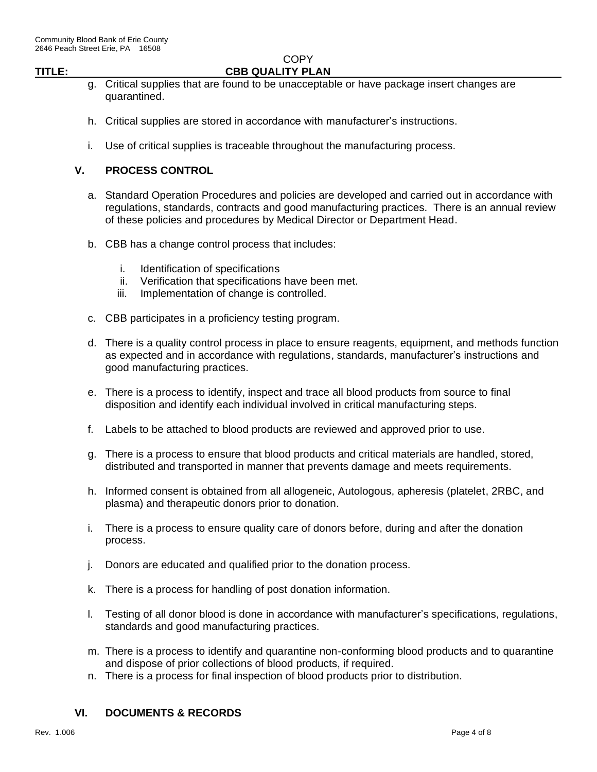**COPY** 

# **TITLE: CBB QUALITY PLAN**

- g. Critical supplies that are found to be unacceptable or have package insert changes are quarantined.
- h. Critical supplies are stored in accordance with manufacturer's instructions.
- i. Use of critical supplies is traceable throughout the manufacturing process.

#### **V. PROCESS CONTROL**

- a. Standard Operation Procedures and policies are developed and carried out in accordance with regulations, standards, contracts and good manufacturing practices. There is an annual review of these policies and procedures by Medical Director or Department Head.
- b. CBB has a change control process that includes:
	- i. Identification of specifications
	- ii. Verification that specifications have been met.
	- iii. Implementation of change is controlled.
- c. CBB participates in a proficiency testing program.
- d. There is a quality control process in place to ensure reagents, equipment, and methods function as expected and in accordance with regulations, standards, manufacturer's instructions and good manufacturing practices.
- e. There is a process to identify, inspect and trace all blood products from source to final disposition and identify each individual involved in critical manufacturing steps.
- f. Labels to be attached to blood products are reviewed and approved prior to use.
- g. There is a process to ensure that blood products and critical materials are handled, stored, distributed and transported in manner that prevents damage and meets requirements.
- h. Informed consent is obtained from all allogeneic, Autologous, apheresis (platelet, 2RBC, and plasma) and therapeutic donors prior to donation.
- i. There is a process to ensure quality care of donors before, during and after the donation process.
- j. Donors are educated and qualified prior to the donation process.
- k. There is a process for handling of post donation information.
- l. Testing of all donor blood is done in accordance with manufacturer's specifications, regulations, standards and good manufacturing practices.
- m. There is a process to identify and quarantine non-conforming blood products and to quarantine and dispose of prior collections of blood products, if required.
- n. There is a process for final inspection of blood products prior to distribution.

#### **VI. DOCUMENTS & RECORDS**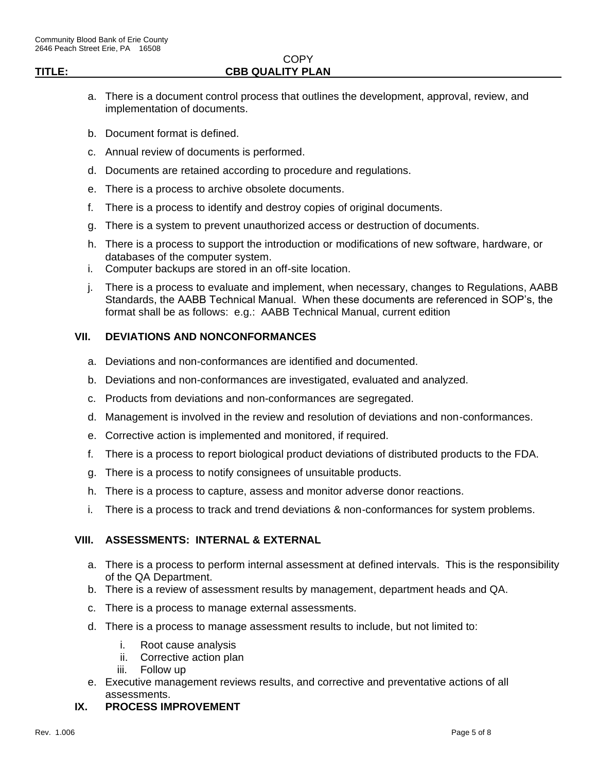#### **COPY TITLE: CBB QUALITY PLAN**

- a. There is a document control process that outlines the development, approval, review, and implementation of documents.
- b. Document format is defined.
- c. Annual review of documents is performed.
- d. Documents are retained according to procedure and regulations.
- e. There is a process to archive obsolete documents.
- f. There is a process to identify and destroy copies of original documents.
- g. There is a system to prevent unauthorized access or destruction of documents.
- h. There is a process to support the introduction or modifications of new software, hardware, or databases of the computer system.
- i. Computer backups are stored in an off-site location.
- j. There is a process to evaluate and implement, when necessary, changes to Regulations, AABB Standards, the AABB Technical Manual. When these documents are referenced in SOP's, the format shall be as follows: e.g.: AABB Technical Manual, current edition

#### **VII. DEVIATIONS AND NONCONFORMANCES**

- a. Deviations and non-conformances are identified and documented.
- b. Deviations and non-conformances are investigated, evaluated and analyzed.
- c. Products from deviations and non-conformances are segregated.
- d. Management is involved in the review and resolution of deviations and non-conformances.
- e. Corrective action is implemented and monitored, if required.
- f. There is a process to report biological product deviations of distributed products to the FDA.
- g. There is a process to notify consignees of unsuitable products.
- h. There is a process to capture, assess and monitor adverse donor reactions.
- i. There is a process to track and trend deviations & non-conformances for system problems.

#### **VIII. ASSESSMENTS: INTERNAL & EXTERNAL**

- a. There is a process to perform internal assessment at defined intervals. This is the responsibility of the QA Department.
- b. There is a review of assessment results by management, department heads and QA.
- c. There is a process to manage external assessments.
- d. There is a process to manage assessment results to include, but not limited to:
	- i. Root cause analysis
	- ii. Corrective action plan
	- iii. Follow up
- e. Executive management reviews results, and corrective and preventative actions of all assessments.
- **IX. PROCESS IMPROVEMENT**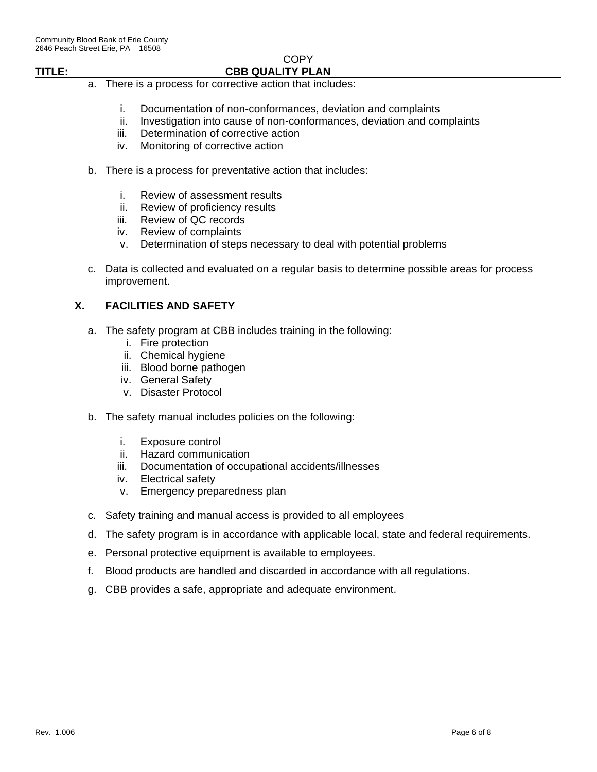# **COPY**

# **TITLE: CBB QUALITY PLAN**

- a. There is a process for corrective action that includes:
	- i. Documentation of non-conformances, deviation and complaints
	- ii. Investigation into cause of non-conformances, deviation and complaints
	- iii. Determination of corrective action
	- iv. Monitoring of corrective action
- b. There is a process for preventative action that includes:
	- i. Review of assessment results
	- ii. Review of proficiency results
	- iii. Review of QC records
	- iv. Review of complaints
	- v. Determination of steps necessary to deal with potential problems
- c. Data is collected and evaluated on a regular basis to determine possible areas for process improvement.

#### **X. FACILITIES AND SAFETY**

- a. The safety program at CBB includes training in the following:
	- i. Fire protection
	- ii. Chemical hygiene
	- iii. Blood borne pathogen
	- iv. General Safety
	- v. Disaster Protocol
- b. The safety manual includes policies on the following:
	- i. Exposure control
	- ii. Hazard communication
	- iii. Documentation of occupational accidents/illnesses
	- iv. Electrical safety
	- v. Emergency preparedness plan
- c. Safety training and manual access is provided to all employees
- d. The safety program is in accordance with applicable local, state and federal requirements.
- e. Personal protective equipment is available to employees.
- f. Blood products are handled and discarded in accordance with all regulations.
- g. CBB provides a safe, appropriate and adequate environment.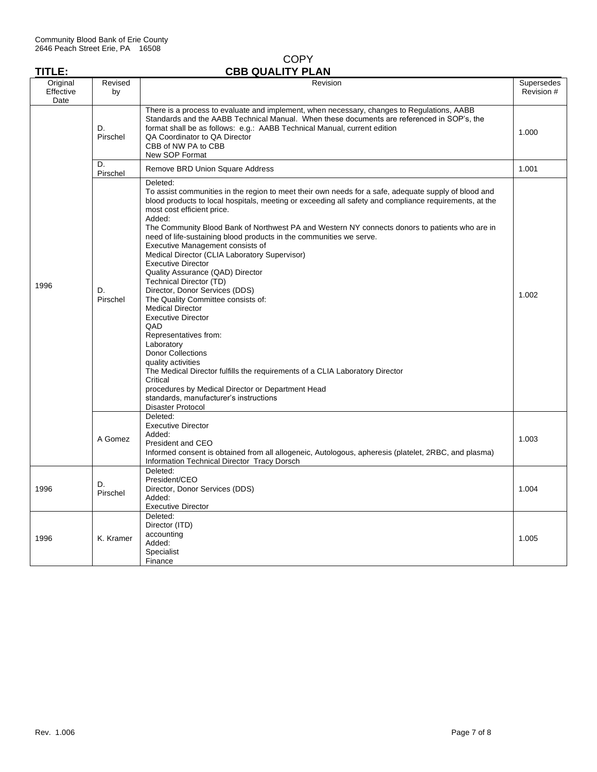|               | <b>COPY</b>             |
|---------------|-------------------------|
| <b>TITLE:</b> | <b>CBB QUALITY PLAN</b> |

| Original<br>Effective | Revised<br>by  | Revision                                                                                                                                                                                                                                                                                                                                                                                                                                                                                                                                                                                                                                                                                                                                                                                                                                                                                                                                                                                                                                                                            | Supersedes<br>Revision # |  |
|-----------------------|----------------|-------------------------------------------------------------------------------------------------------------------------------------------------------------------------------------------------------------------------------------------------------------------------------------------------------------------------------------------------------------------------------------------------------------------------------------------------------------------------------------------------------------------------------------------------------------------------------------------------------------------------------------------------------------------------------------------------------------------------------------------------------------------------------------------------------------------------------------------------------------------------------------------------------------------------------------------------------------------------------------------------------------------------------------------------------------------------------------|--------------------------|--|
| Date                  |                |                                                                                                                                                                                                                                                                                                                                                                                                                                                                                                                                                                                                                                                                                                                                                                                                                                                                                                                                                                                                                                                                                     |                          |  |
|                       | D.<br>Pirschel | There is a process to evaluate and implement, when necessary, changes to Regulations, AABB<br>Standards and the AABB Technical Manual. When these documents are referenced in SOP's, the<br>format shall be as follows: e.g.: AABB Technical Manual, current edition<br>QA Coordinator to QA Director<br>CBB of NW PA to CBB<br>New SOP Format                                                                                                                                                                                                                                                                                                                                                                                                                                                                                                                                                                                                                                                                                                                                      |                          |  |
|                       | D.<br>Pirschel | Remove BRD Union Square Address                                                                                                                                                                                                                                                                                                                                                                                                                                                                                                                                                                                                                                                                                                                                                                                                                                                                                                                                                                                                                                                     | 1.001                    |  |
| 1996                  | D.<br>Pirschel | Deleted:<br>To assist communities in the region to meet their own needs for a safe, adequate supply of blood and<br>blood products to local hospitals, meeting or exceeding all safety and compliance requirements, at the<br>most cost efficient price.<br>Added:<br>The Community Blood Bank of Northwest PA and Western NY connects donors to patients who are in<br>need of life-sustaining blood products in the communities we serve.<br>Executive Management consists of<br>Medical Director (CLIA Laboratory Supervisor)<br><b>Executive Director</b><br>Quality Assurance (QAD) Director<br>Technical Director (TD)<br>Director, Donor Services (DDS)<br>The Quality Committee consists of:<br><b>Medical Director</b><br><b>Executive Director</b><br>QAD<br>Representatives from:<br>Laboratory<br><b>Donor Collections</b><br>quality activities<br>The Medical Director fulfills the requirements of a CLIA Laboratory Director<br>Critical<br>procedures by Medical Director or Department Head<br>standards, manufacturer's instructions<br><b>Disaster Protocol</b> | 1.002                    |  |
|                       | A Gomez        | Deleted:<br><b>Executive Director</b><br>Added:<br>President and CEO<br>Informed consent is obtained from all allogeneic, Autologous, apheresis (platelet, 2RBC, and plasma)<br>Information Technical Director Tracy Dorsch                                                                                                                                                                                                                                                                                                                                                                                                                                                                                                                                                                                                                                                                                                                                                                                                                                                         | 1.003                    |  |
| 1996                  | D.<br>Pirschel | Deleted:<br>President/CEO<br>Director, Donor Services (DDS)<br>Added:<br><b>Executive Director</b>                                                                                                                                                                                                                                                                                                                                                                                                                                                                                                                                                                                                                                                                                                                                                                                                                                                                                                                                                                                  | 1.004                    |  |
| 1996                  | K. Kramer      | Deleted:<br>Director (ITD)<br>accounting<br>Added:<br>Specialist<br>Finance                                                                                                                                                                                                                                                                                                                                                                                                                                                                                                                                                                                                                                                                                                                                                                                                                                                                                                                                                                                                         | 1.005                    |  |